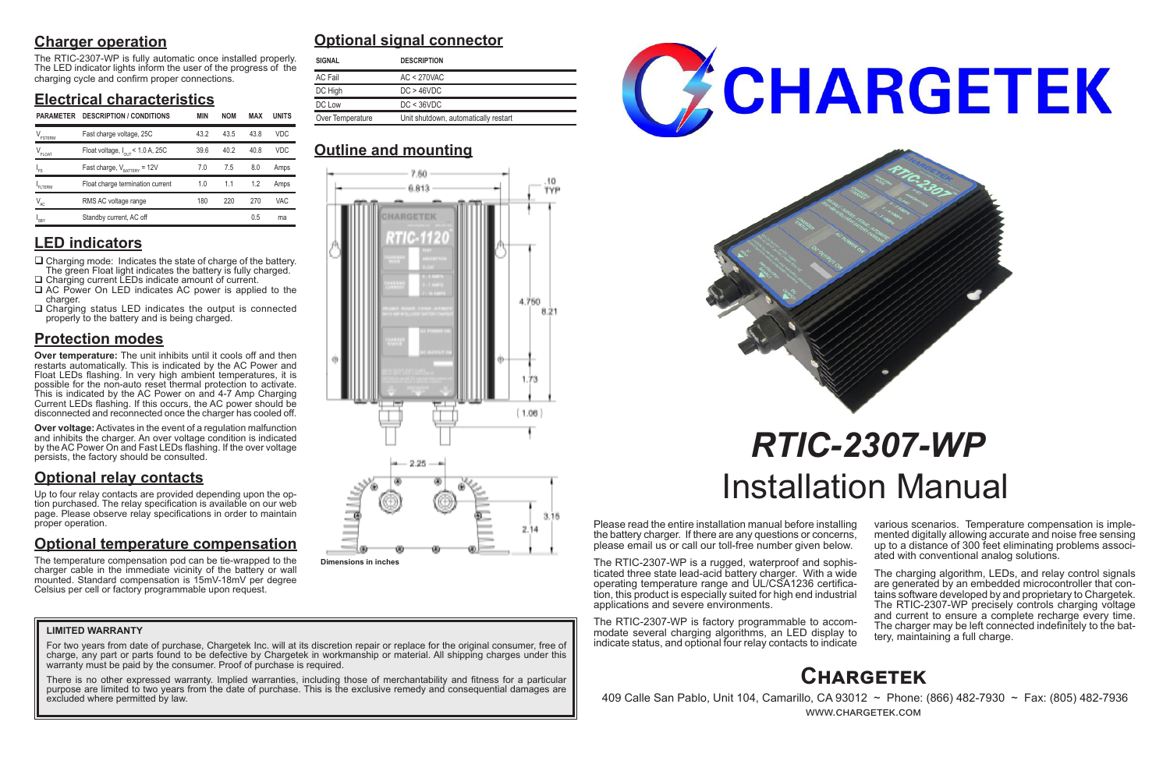# **Charger operation**

The RTIC-2307-WP is fully automatic once installed properly. The LED indicator lights inform the user of the progress of the charging cycle and confirm proper connections.

# **Electrical characteristics**

## **LED indicators**

- $\Box$  Charging mode: Indicates the state of charge of the battery. The green Float light indicates the battery is fully charged. □ Charging current LEDs indicate amount of current.
- □ AC Power On LED indicates AC power is applied to the charger.
- $\Box$  Charging status LED indicates the output is connected properly to the battery and is being charged.

# **Protection modes**

**Over temperature:** The unit inhibits until it cools off and then restarts automatically. This is indicated by the AC Power and Float LEDs flashing. In very high ambient temperatures, it is possible for the non-auto reset thermal protection to activate. This is indicated by the AC Power on and 4-7 Amp Charging Current LEDs flashing. If this occurs, the AC power should be disconnected and reconnected once the charger has cooled off.

**Over voltage:** Activates in the event of a regulation malfunction and inhibits the charger. An over voltage condition is indicated by the AC Power On and Fast LEDs flashing. If the over voltage persists, the factory should be consulted.

# **Optional relay contacts**

Up to four relay contacts are provided depending upon the option purchased. The relay specification is available on our web page. Please observe relay specifications in order to maintain proper operation.

> The charging algorithm, LEDs, and relay control signals are generated by an embedded microcontroller that contains software developed by and proprietary to Chargetek. The RTIC-2307-WP precisely controls charging voltage and current to ensure a complete recharge every time. The charger may be left connected indefinitely to the bat- tery, maintaining a full charge.

# **Optional temperature compensation**

For two years from date of purchase, Chargetek Inc. will at its discretion repair or replace for the original consumer, free of charge, any part or parts found to be defective by Chargetek in workmanship or material. All shipping charges under this warranty must be paid by the consumer. Proof of purchase is required.

The temperature compensation pod can be tie-wrapped to the charger cable in the immediate vicinity of the battery or wall mounted. Standard compensation is 15mV-18mV per degree Celsius per cell or factory programmable upon request.

Please read the entire installation manual before installing the battery charger. If there are any questions or concerns, please email us or call our toll-free number given below.

The RTIC-2307-WP is a rugged, waterproof and sophisticated three state lead-acid battery charger. With a wide tion, this product is especially suited for high end industrial applications and severe environments.

The RTIC-2307-WP is factory programmable to accommodate several charging algorithms, an LED display to indicate status, and optional four relay contacts to indicate various scenarios. Temperature compensation is imple- mented digitally allowing accurate and noise free sensing up to a distance of 300 feet eliminating problems associ- ated with conventional analog solutions.

# *RTIC-2307-WP* Installation Manual

# **Optional signal connector**

# **Outline and mounting**

# **Chargetek**

 409 Calle San Pablo, Unit 104, Camarillo, CA 93012 ~ Phone: (866) 482-7930 ~ Fax: (805) 482-7936 www.chargetek.com

### **LIMITED WARRANTY**

There is no other expressed warranty. Implied warranties, including those of merchantability and fitness for a particular purpose are limited to two years from the date of purchase. This is the exclusive remedy and consequential damages are excluded where permitted by law.





| <b>SIGNAL</b>                                            | <b>DESCRIPTION</b> |
|----------------------------------------------------------|--------------------|
| AC Fail                                                  | $AC < 270$ VAC     |
| DC High                                                  | DC > 46 VDC        |
| DC Low                                                   | DC < 36VDC         |
| Over Temperature<br>Unit shutdown, automatically restart |                    |

| <b>PARAMETER</b>               | <b>DESCRIPTION / CONDITIONS</b>              | <b>MIN</b> | <b>NOM</b> | <b>MAX</b> | <b>UNITS</b> | Over Temperature<br>Unit shutdown, automatically restart |  |  |
|--------------------------------|----------------------------------------------|------------|------------|------------|--------------|----------------------------------------------------------|--|--|
| $\mathrm{V}_{\mathrm{FSTERM}}$ | Fast charge voltage, 25C                     | 43.2       | 43.5       | 43.8       | <b>VDC</b>   |                                                          |  |  |
| $V_{_{\text{FLOAT}}}$          | Float voltage, $I_{\text{out}}$ < 1.0 A, 25C | 39.6       | 40.2       | 40.8       | <b>VDC</b>   | <b>Outline and mounting</b>                              |  |  |
|                                | Fast charge, $V_{\text{BATIFY}} = 12V$       | 7.0        | 7.5        | 8.0        | Amps         | 7.60.                                                    |  |  |
| <b>FLTERM</b>                  | Float charge termination current             | 1.0        | 1.1        | 1.2        | Amps         | 6.813                                                    |  |  |
| $V_{AC}$                       | RMS AC voltage range                         | 180        | 220        | 270        | <b>VAC</b>   |                                                          |  |  |
| $I_{SBY}$                      | Standby current, AC off                      |            |            | 0.5        | ma           |                                                          |  |  |



**Dimensions in inches**